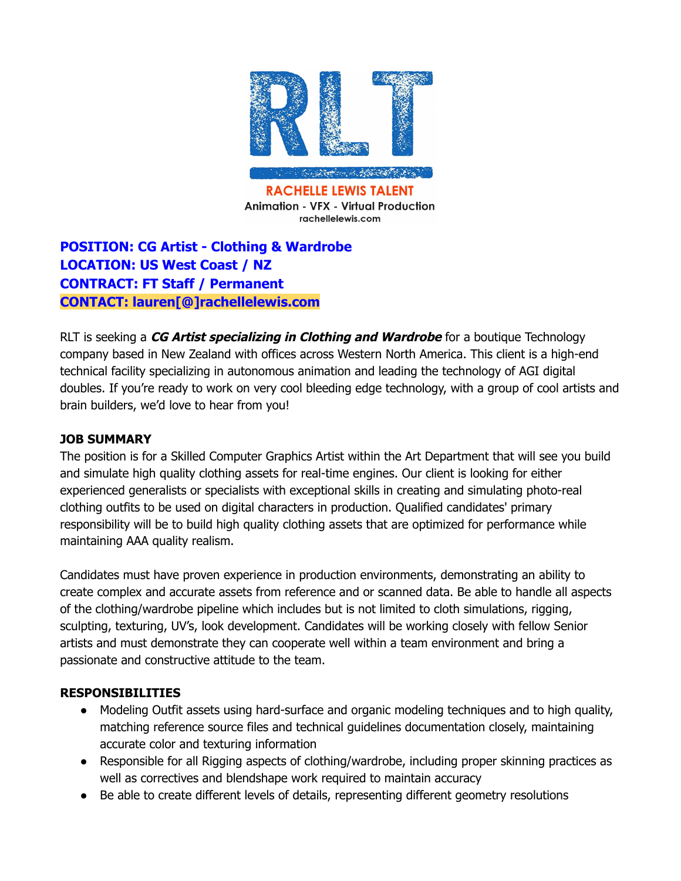

**Animation - VFX - Virtual Production** rachellelewis.com

# **POSITION: CG Artist - Clothing & Wardrobe LOCATION: US West Coast / NZ CONTRACT: FT Staff / Permanent CONTACT: lauren[@]rachellelewis.com**

RLT is seeking a **CG Artist specializing in Clothing and Wardrobe** for a boutique Technology company based in New Zealand with offices across Western North America. This client is a high-end technical facility specializing in autonomous animation and leading the technology of AGI digital doubles. If you're ready to work on very cool bleeding edge technology, with a group of cool artists and brain builders, we'd love to hear from you!

### **JOB SUMMARY**

The position is for a Skilled Computer Graphics Artist within the Art Department that will see you build and simulate high quality clothing assets for real-time engines. Our client is looking for either experienced generalists or specialists with exceptional skills in creating and simulating photo-real clothing outfits to be used on digital characters in production. Qualified candidates' primary responsibility will be to build high quality clothing assets that are optimized for performance while maintaining AAA quality realism.

Candidates must have proven experience in production environments, demonstrating an ability to create complex and accurate assets from reference and or scanned data. Be able to handle all aspects of the clothing/wardrobe pipeline which includes but is not limited to cloth simulations, rigging, sculpting, texturing, UV's, look development. Candidates will be working closely with fellow Senior artists and must demonstrate they can cooperate well within a team environment and bring a passionate and constructive attitude to the team.

### **RESPONSIBILITIES**

- Modeling Outfit assets using hard-surface and organic modeling techniques and to high quality, matching reference source files and technical guidelines documentation closely, maintaining accurate color and texturing information
- Responsible for all Rigging aspects of clothing/wardrobe, including proper skinning practices as well as correctives and blendshape work required to maintain accuracy
- Be able to create different levels of details, representing different geometry resolutions